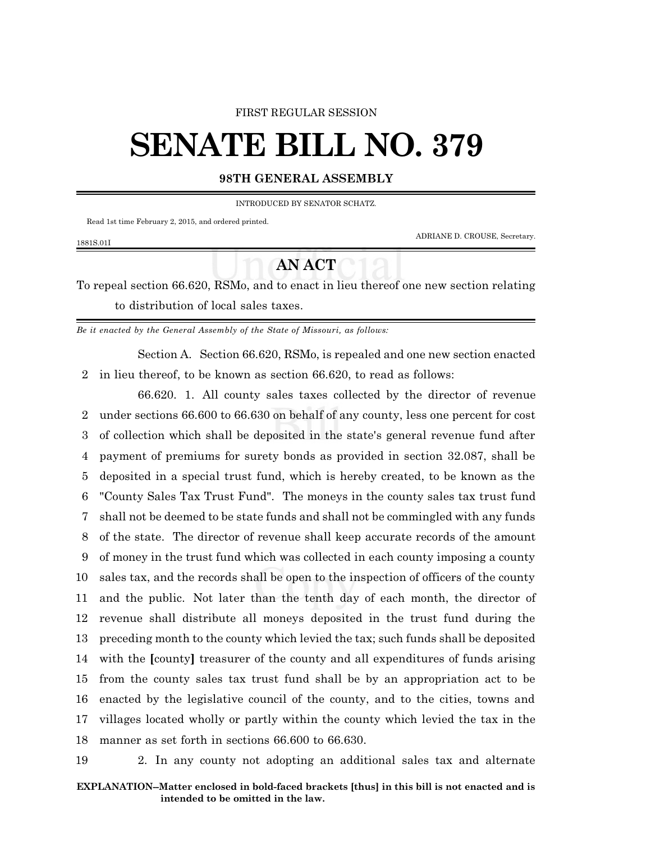### FIRST REGULAR SESSION

# **SENATE BILL NO. 379**

## **98TH GENERAL ASSEMBLY**

#### INTRODUCED BY SENATOR SCHATZ.

Read 1st time February 2, 2015, and ordered printed.

1881S.01I

ADRIANE D. CROUSE, Secretary.

# **AN ACT**

To repeal section 66.620, RSMo, and to enact in lieu thereof one new section relating to distribution of local sales taxes.

*Be it enacted by the General Assembly of the State of Missouri, as follows:*

Section A. Section 66.620, RSMo, is repealed and one new section enacted 2 in lieu thereof, to be known as section 66.620, to read as follows:

66.620. 1. All county sales taxes collected by the director of revenue under sections 66.600 to 66.630 on behalf of any county, less one percent for cost of collection which shall be deposited in the state's general revenue fund after payment of premiums for surety bonds as provided in section 32.087, shall be deposited in a special trust fund, which is hereby created, to be known as the "County Sales Tax Trust Fund". The moneys in the county sales tax trust fund shall not be deemed to be state funds and shall not be commingled with any funds of the state. The director of revenue shall keep accurate records of the amount of money in the trust fund which was collected in each county imposing a county sales tax, and the records shall be open to the inspection of officers of the county and the public. Not later than the tenth day of each month, the director of revenue shall distribute all moneys deposited in the trust fund during the preceding month to the county which levied the tax; such funds shall be deposited with the **[**county**]** treasurer of the county and all expenditures of funds arising from the county sales tax trust fund shall be by an appropriation act to be enacted by the legislative council of the county, and to the cities, towns and villages located wholly or partly within the county which levied the tax in the manner as set forth in sections 66.600 to 66.630.

19 2. In any county not adopting an additional sales tax and alternate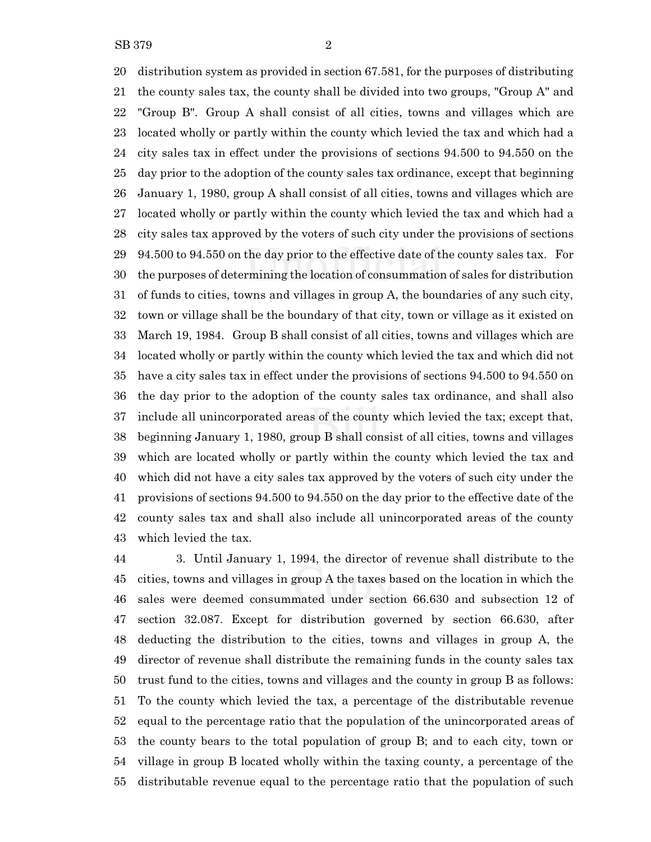distribution system as provided in section 67.581, for the purposes of distributing the county sales tax, the county shall be divided into two groups, "Group A" and "Group B". Group A shall consist of all cities, towns and villages which are located wholly or partly within the county which levied the tax and which had a city sales tax in effect under the provisions of sections 94.500 to 94.550 on the day prior to the adoption of the county sales tax ordinance, except that beginning January 1, 1980, group A shall consist of all cities, towns and villages which are located wholly or partly within the county which levied the tax and which had a city sales tax approved by the voters of such city under the provisions of sections 94.500 to 94.550 on the day prior to the effective date of the county sales tax. For the purposes of determining the location of consummation of sales for distribution of funds to cities, towns and villages in group A, the boundaries of any such city, town or village shall be the boundary of that city, town or village as it existed on March 19, 1984. Group B shall consist of all cities, towns and villages which are located wholly or partly within the county which levied the tax and which did not have a city sales tax in effect under the provisions of sections 94.500 to 94.550 on the day prior to the adoption of the county sales tax ordinance, and shall also include all unincorporated areas of the county which levied the tax; except that, beginning January 1, 1980, group B shall consist of all cities, towns and villages which are located wholly or partly within the county which levied the tax and which did not have a city sales tax approved by the voters of such city under the provisions of sections 94.500 to 94.550 on the day prior to the effective date of the county sales tax and shall also include all unincorporated areas of the county which levied the tax.

 3. Until January 1, 1994, the director of revenue shall distribute to the cities, towns and villages in group A the taxes based on the location in which the sales were deemed consummated under section 66.630 and subsection 12 of section 32.087. Except for distribution governed by section 66.630, after deducting the distribution to the cities, towns and villages in group A, the director of revenue shall distribute the remaining funds in the county sales tax trust fund to the cities, towns and villages and the county in group B as follows: To the county which levied the tax, a percentage of the distributable revenue equal to the percentage ratio that the population of the unincorporated areas of the county bears to the total population of group B; and to each city, town or village in group B located wholly within the taxing county, a percentage of the distributable revenue equal to the percentage ratio that the population of such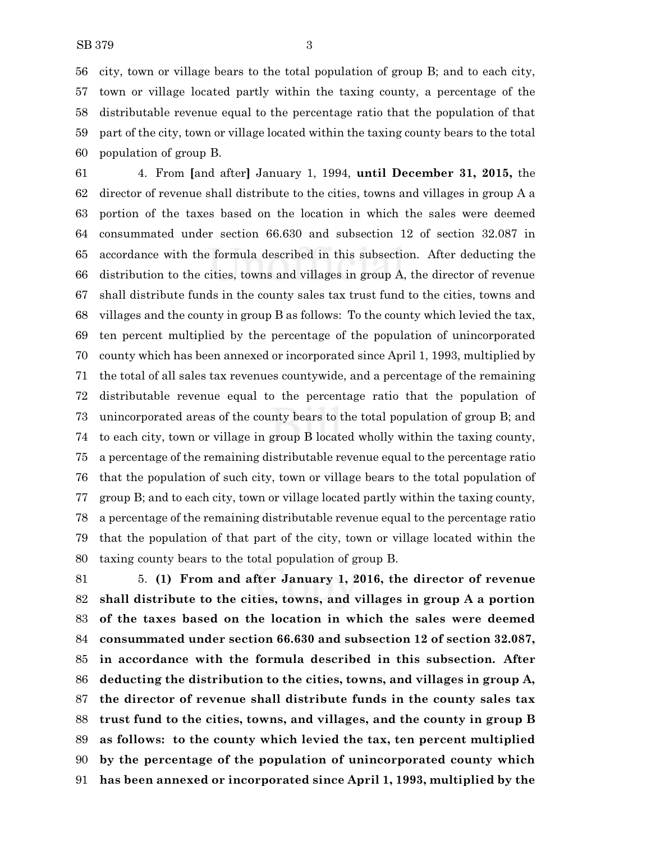city, town or village bears to the total population of group B; and to each city, town or village located partly within the taxing county, a percentage of the distributable revenue equal to the percentage ratio that the population of that part of the city, town or village located within the taxing county bears to the total population of group B.

 4. From **[**and after**]** January 1, 1994, **until December 31, 2015,** the director of revenue shall distribute to the cities, towns and villages in group A a portion of the taxes based on the location in which the sales were deemed consummated under section 66.630 and subsection 12 of section 32.087 in accordance with the formula described in this subsection. After deducting the distribution to the cities, towns and villages in group A, the director of revenue shall distribute funds in the county sales tax trust fund to the cities, towns and villages and the county in group B as follows: To the county which levied the tax, ten percent multiplied by the percentage of the population of unincorporated county which has been annexed or incorporated since April 1, 1993, multiplied by the total of all sales tax revenues countywide, and a percentage of the remaining distributable revenue equal to the percentage ratio that the population of unincorporated areas of the county bears to the total population of group B; and to each city, town or village in group B located wholly within the taxing county, a percentage of the remaining distributable revenue equal to the percentage ratio that the population of such city, town or village bears to the total population of group B; and to each city, town or village located partly within the taxing county, a percentage of the remaining distributable revenue equal to the percentage ratio that the population of that part of the city, town or village located within the taxing county bears to the total population of group B.

 5. **(1) From and after January 1, 2016, the director of revenue shall distribute to the cities, towns, and villages in group A a portion of the taxes based on the location in which the sales were deemed consummated under section 66.630 and subsection 12 of section 32.087, in accordance with the formula described in this subsection. After deducting the distribution to the cities, towns, and villages in group A, the director of revenue shall distribute funds in the county sales tax trust fund to the cities, towns, and villages, and the county in group B as follows: to the county which levied the tax, ten percent multiplied by the percentage of the population of unincorporated county which has been annexed or incorporated since April 1, 1993, multiplied by the**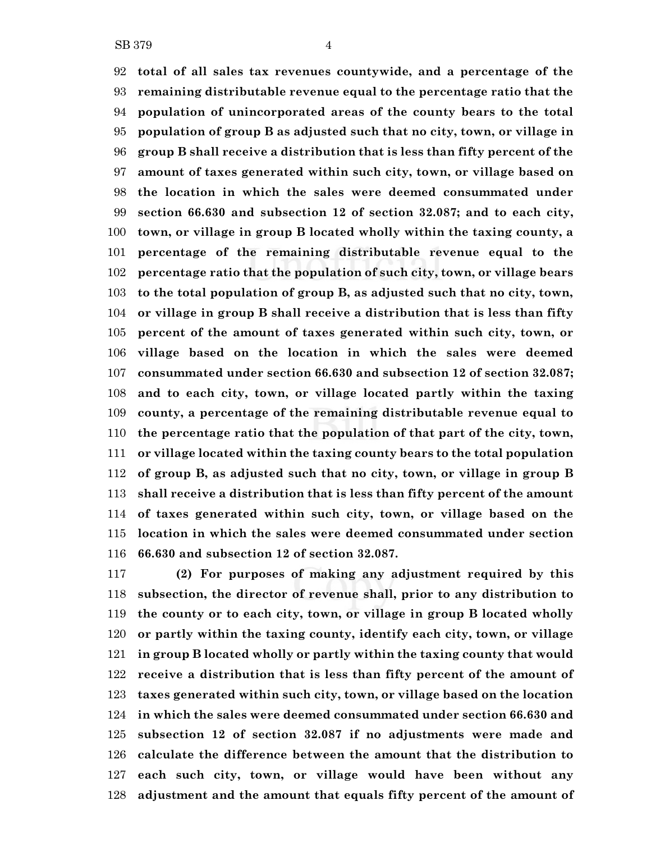**total of all sales tax revenues countywide, and a percentage of the remaining distributable revenue equal to the percentage ratio that the population of unincorporated areas of the county bears to the total population of group B as adjusted such that no city, town, or village in group B shall receive a distribution that is less than fifty percent of the amount of taxes generated within such city, town, or village based on the location in which the sales were deemed consummated under section 66.630 and subsection 12 of section 32.087; and to each city, town, or village in group B located wholly within the taxing county, a percentage of the remaining distributable revenue equal to the percentage ratio that the population of such city, town, or village bears to the total population of group B, as adjusted such that no city, town, or village in group B shall receive a distribution that is less than fifty percent of the amount of taxes generated within such city, town, or village based on the location in which the sales were deemed consummated under section 66.630 and subsection 12 of section 32.087; and to each city, town, or village located partly within the taxing county, a percentage of the remaining distributable revenue equal to the percentage ratio that the population of that part of the city, town, or village located within the taxing county bears to the total population of group B, as adjusted such that no city, town, or village in group B shall receive a distribution that is less than fifty percent of the amount of taxes generated within such city, town, or village based on the location in which the sales were deemed consummated under section 66.630 and subsection 12 of section 32.087.**

 **(2) For purposes of making any adjustment required by this subsection, the director of revenue shall, prior to any distribution to the county or to each city, town, or village in group B located wholly or partly within the taxing county, identify each city, town, or village in group B located wholly or partly within the taxing county that would receive a distribution that is less than fifty percent of the amount of taxes generated within such city, town, or village based on the location in which the sales were deemed consummated under section 66.630 and subsection 12 of section 32.087 if no adjustments were made and calculate the difference between the amount that the distribution to each such city, town, or village would have been without any adjustment and the amount that equals fifty percent of the amount of**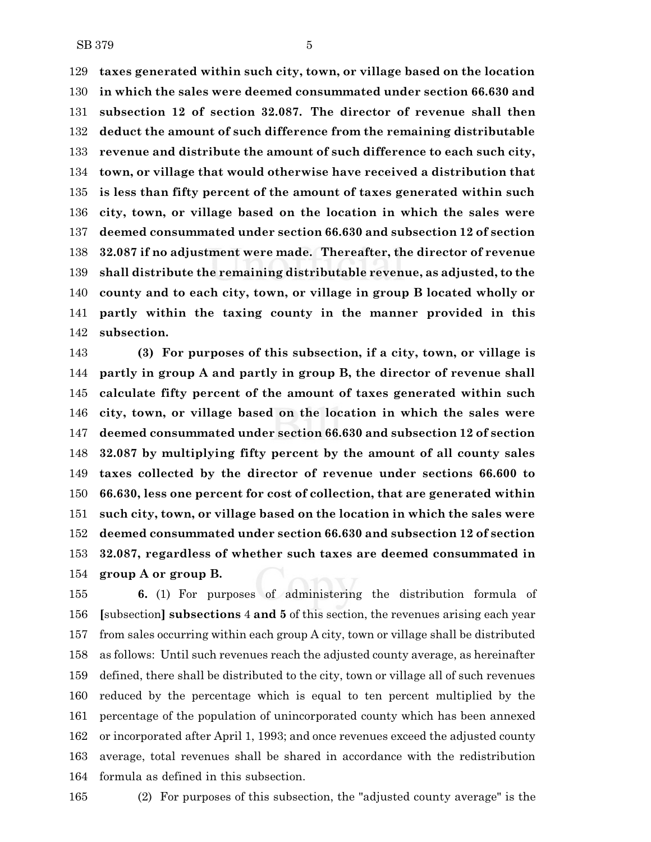**taxes generated within such city, town, or village based on the location in which the sales were deemed consummated under section 66.630 and subsection 12 of section 32.087. The director of revenue shall then deduct the amount of such difference from the remaining distributable revenue and distribute the amount of such difference to each such city, town, or village that would otherwise have received a distribution that is less than fifty percent of the amount of taxes generated within such city, town, or village based on the location in which the sales were deemed consummated under section 66.630 and subsection 12 of section 32.087 if no adjustment were made. Thereafter, the director of revenue shall distribute the remaining distributable revenue, as adjusted, to the county and to each city, town, or village in group B located wholly or partly within the taxing county in the manner provided in this subsection.**

 **(3) For purposes of this subsection, if a city, town, or village is partly in group A and partly in group B, the director of revenue shall calculate fifty percent of the amount of taxes generated within such city, town, or village based on the location in which the sales were deemed consummated under section 66.630 and subsection 12 of section 32.087 by multiplying fifty percent by the amount of all county sales taxes collected by the director of revenue under sections 66.600 to 66.630, less one percent for cost of collection, that are generated within such city, town, or village based on the location in which the sales were deemed consummated under section 66.630 and subsection 12 of section 32.087, regardless of whether such taxes are deemed consummated in group A or group B.**

 **6.** (1) For purposes of administering the distribution formula of **[**subsection**] subsections** 4 **and 5** of this section, the revenues arising each year from sales occurring within each group A city, town or village shall be distributed as follows: Until such revenues reach the adjusted county average, as hereinafter defined, there shall be distributed to the city, town or village all of such revenues reduced by the percentage which is equal to ten percent multiplied by the percentage of the population of unincorporated county which has been annexed or incorporated after April 1, 1993; and once revenues exceed the adjusted county average, total revenues shall be shared in accordance with the redistribution formula as defined in this subsection.

(2) For purposes of this subsection, the "adjusted county average" is the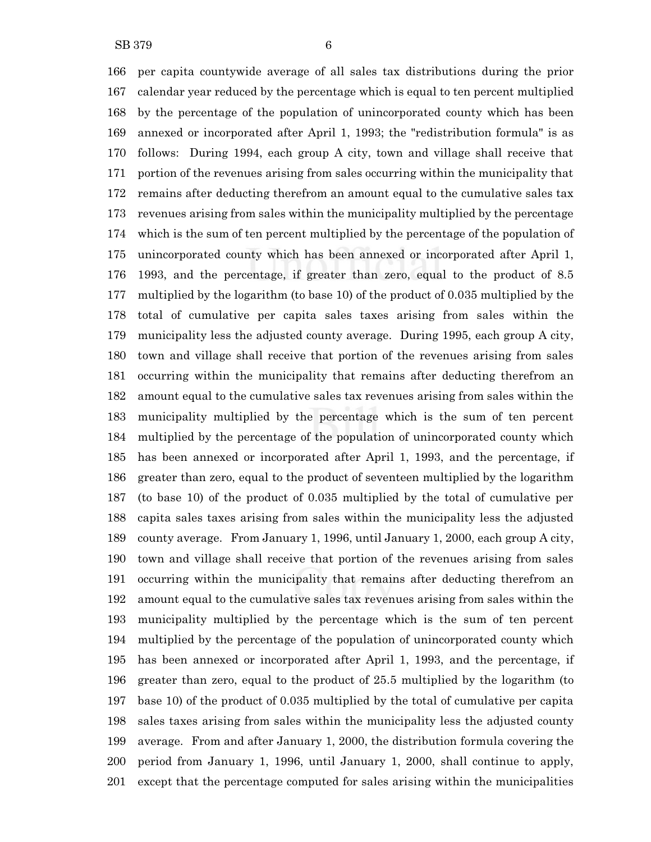per capita countywide average of all sales tax distributions during the prior calendar year reduced by the percentage which is equal to ten percent multiplied by the percentage of the population of unincorporated county which has been annexed or incorporated after April 1, 1993; the "redistribution formula" is as follows: During 1994, each group A city, town and village shall receive that portion of the revenues arising from sales occurring within the municipality that remains after deducting therefrom an amount equal to the cumulative sales tax revenues arising from sales within the municipality multiplied by the percentage which is the sum of ten percent multiplied by the percentage of the population of unincorporated county which has been annexed or incorporated after April 1, 1993, and the percentage, if greater than zero, equal to the product of 8.5 multiplied by the logarithm (to base 10) of the product of 0.035 multiplied by the total of cumulative per capita sales taxes arising from sales within the municipality less the adjusted county average. During 1995, each group A city, town and village shall receive that portion of the revenues arising from sales occurring within the municipality that remains after deducting therefrom an amount equal to the cumulative sales tax revenues arising from sales within the municipality multiplied by the percentage which is the sum of ten percent multiplied by the percentage of the population of unincorporated county which has been annexed or incorporated after April 1, 1993, and the percentage, if greater than zero, equal to the product of seventeen multiplied by the logarithm (to base 10) of the product of 0.035 multiplied by the total of cumulative per capita sales taxes arising from sales within the municipality less the adjusted county average. From January 1, 1996, until January 1, 2000, each group A city, town and village shall receive that portion of the revenues arising from sales occurring within the municipality that remains after deducting therefrom an amount equal to the cumulative sales tax revenues arising from sales within the municipality multiplied by the percentage which is the sum of ten percent multiplied by the percentage of the population of unincorporated county which has been annexed or incorporated after April 1, 1993, and the percentage, if greater than zero, equal to the product of 25.5 multiplied by the logarithm (to base 10) of the product of 0.035 multiplied by the total of cumulative per capita sales taxes arising from sales within the municipality less the adjusted county average. From and after January 1, 2000, the distribution formula covering the period from January 1, 1996, until January 1, 2000, shall continue to apply, except that the percentage computed for sales arising within the municipalities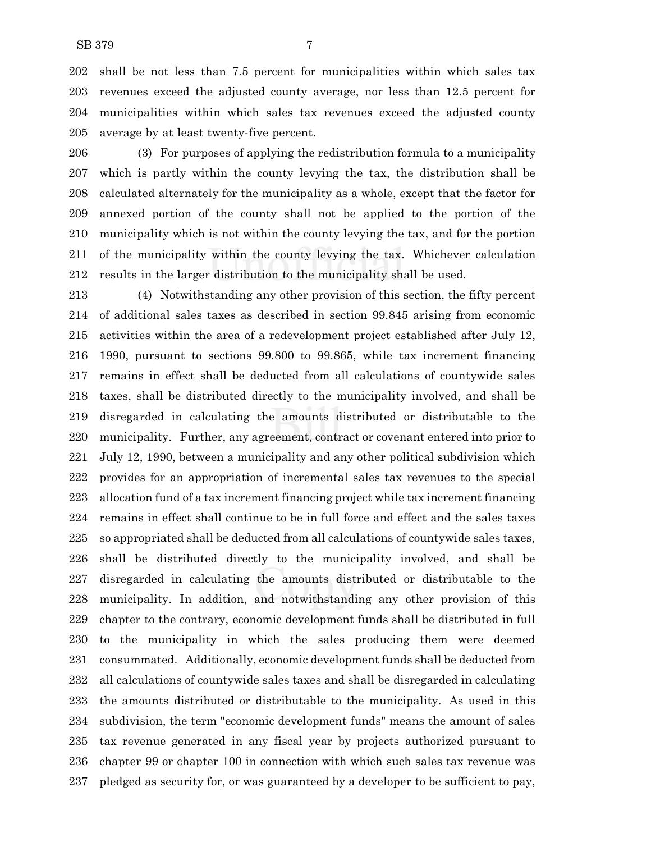shall be not less than 7.5 percent for municipalities within which sales tax revenues exceed the adjusted county average, nor less than 12.5 percent for municipalities within which sales tax revenues exceed the adjusted county average by at least twenty-five percent.

 (3) For purposes of applying the redistribution formula to a municipality which is partly within the county levying the tax, the distribution shall be calculated alternately for the municipality as a whole, except that the factor for annexed portion of the county shall not be applied to the portion of the municipality which is not within the county levying the tax, and for the portion of the municipality within the county levying the tax. Whichever calculation results in the larger distribution to the municipality shall be used.

 (4) Notwithstanding any other provision of this section, the fifty percent of additional sales taxes as described in section 99.845 arising from economic activities within the area of a redevelopment project established after July 12, 1990, pursuant to sections 99.800 to 99.865, while tax increment financing remains in effect shall be deducted from all calculations of countywide sales taxes, shall be distributed directly to the municipality involved, and shall be disregarded in calculating the amounts distributed or distributable to the municipality. Further, any agreement, contract or covenant entered into prior to July 12, 1990, between a municipality and any other political subdivision which provides for an appropriation of incremental sales tax revenues to the special allocation fund of a tax increment financing project while tax increment financing remains in effect shall continue to be in full force and effect and the sales taxes so appropriated shall be deducted from all calculations of countywide sales taxes, shall be distributed directly to the municipality involved, and shall be disregarded in calculating the amounts distributed or distributable to the municipality. In addition, and notwithstanding any other provision of this chapter to the contrary, economic development funds shall be distributed in full to the municipality in which the sales producing them were deemed consummated. Additionally, economic development funds shall be deducted from all calculations of countywide sales taxes and shall be disregarded in calculating the amounts distributed or distributable to the municipality. As used in this subdivision, the term "economic development funds" means the amount of sales tax revenue generated in any fiscal year by projects authorized pursuant to chapter 99 or chapter 100 in connection with which such sales tax revenue was pledged as security for, or was guaranteed by a developer to be sufficient to pay,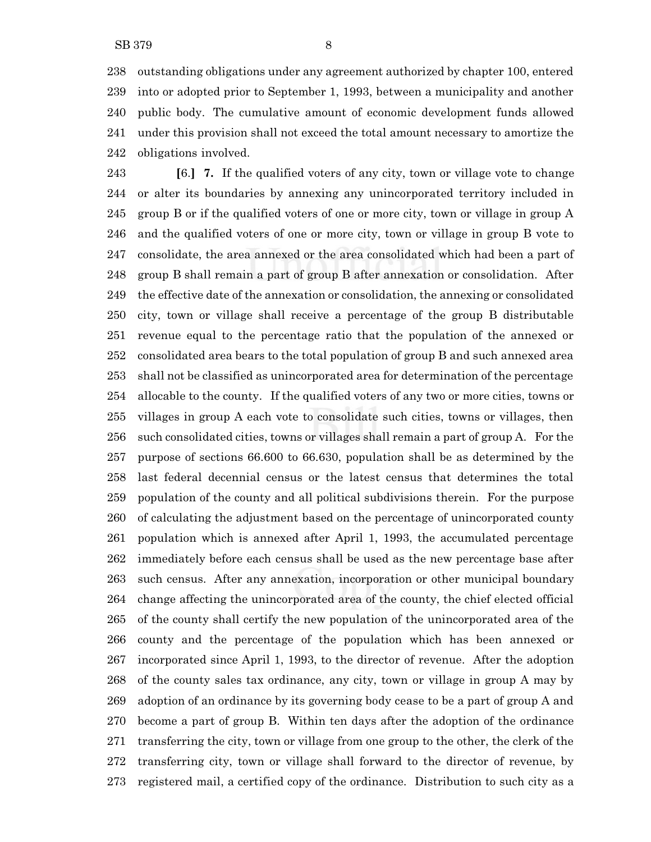outstanding obligations under any agreement authorized by chapter 100, entered into or adopted prior to September 1, 1993, between a municipality and another public body. The cumulative amount of economic development funds allowed under this provision shall not exceed the total amount necessary to amortize the obligations involved.

 **[**6.**] 7.** If the qualified voters of any city, town or village vote to change or alter its boundaries by annexing any unincorporated territory included in group B or if the qualified voters of one or more city, town or village in group A and the qualified voters of one or more city, town or village in group B vote to consolidate, the area annexed or the area consolidated which had been a part of group B shall remain a part of group B after annexation or consolidation. After the effective date of the annexation or consolidation, the annexing or consolidated city, town or village shall receive a percentage of the group B distributable revenue equal to the percentage ratio that the population of the annexed or consolidated area bears to the total population of group B and such annexed area shall not be classified as unincorporated area for determination of the percentage allocable to the county. If the qualified voters of any two or more cities, towns or villages in group A each vote to consolidate such cities, towns or villages, then such consolidated cities, towns or villages shall remain a part of group A. For the purpose of sections 66.600 to 66.630, population shall be as determined by the last federal decennial census or the latest census that determines the total population of the county and all political subdivisions therein. For the purpose of calculating the adjustment based on the percentage of unincorporated county population which is annexed after April 1, 1993, the accumulated percentage immediately before each census shall be used as the new percentage base after such census. After any annexation, incorporation or other municipal boundary change affecting the unincorporated area of the county, the chief elected official of the county shall certify the new population of the unincorporated area of the county and the percentage of the population which has been annexed or incorporated since April 1, 1993, to the director of revenue. After the adoption of the county sales tax ordinance, any city, town or village in group A may by adoption of an ordinance by its governing body cease to be a part of group A and become a part of group B. Within ten days after the adoption of the ordinance transferring the city, town or village from one group to the other, the clerk of the transferring city, town or village shall forward to the director of revenue, by registered mail, a certified copy of the ordinance. Distribution to such city as a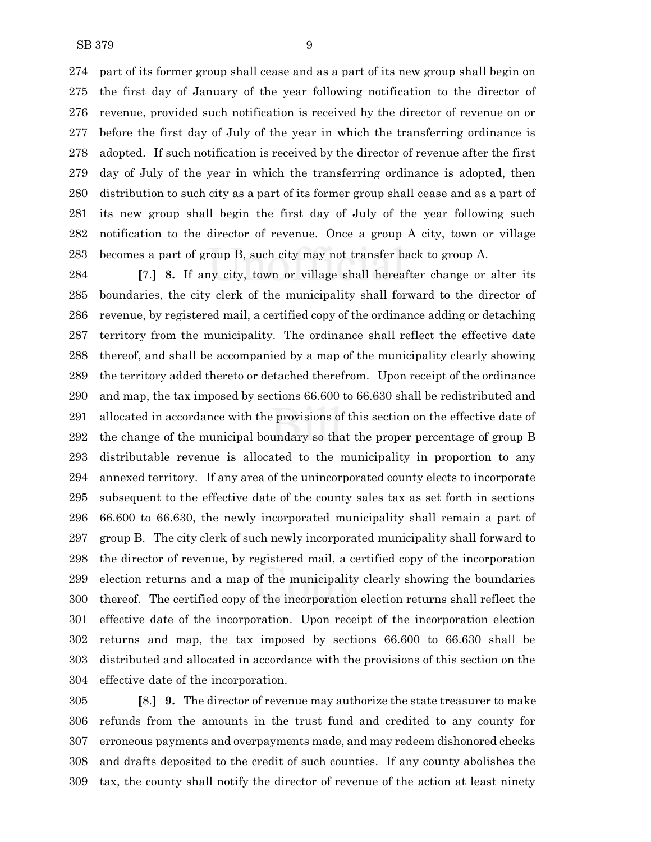part of its former group shall cease and as a part of its new group shall begin on the first day of January of the year following notification to the director of revenue, provided such notification is received by the director of revenue on or before the first day of July of the year in which the transferring ordinance is adopted. If such notification is received by the director of revenue after the first day of July of the year in which the transferring ordinance is adopted, then distribution to such city as a part of its former group shall cease and as a part of its new group shall begin the first day of July of the year following such notification to the director of revenue. Once a group A city, town or village becomes a part of group B, such city may not transfer back to group A.

 **[**7.**] 8.** If any city, town or village shall hereafter change or alter its boundaries, the city clerk of the municipality shall forward to the director of revenue, by registered mail, a certified copy of the ordinance adding or detaching territory from the municipality. The ordinance shall reflect the effective date thereof, and shall be accompanied by a map of the municipality clearly showing the territory added thereto or detached therefrom. Upon receipt of the ordinance and map, the tax imposed by sections 66.600 to 66.630 shall be redistributed and allocated in accordance with the provisions of this section on the effective date of the change of the municipal boundary so that the proper percentage of group B distributable revenue is allocated to the municipality in proportion to any annexed territory. If any area of the unincorporated county elects to incorporate subsequent to the effective date of the county sales tax as set forth in sections 66.600 to 66.630, the newly incorporated municipality shall remain a part of group B. The city clerk of such newly incorporated municipality shall forward to the director of revenue, by registered mail, a certified copy of the incorporation election returns and a map of the municipality clearly showing the boundaries thereof. The certified copy of the incorporation election returns shall reflect the effective date of the incorporation. Upon receipt of the incorporation election returns and map, the tax imposed by sections 66.600 to 66.630 shall be distributed and allocated in accordance with the provisions of this section on the effective date of the incorporation.

 **[**8.**] 9.** The director of revenue may authorize the state treasurer to make refunds from the amounts in the trust fund and credited to any county for erroneous payments and overpayments made, and may redeem dishonored checks and drafts deposited to the credit of such counties. If any county abolishes the tax, the county shall notify the director of revenue of the action at least ninety